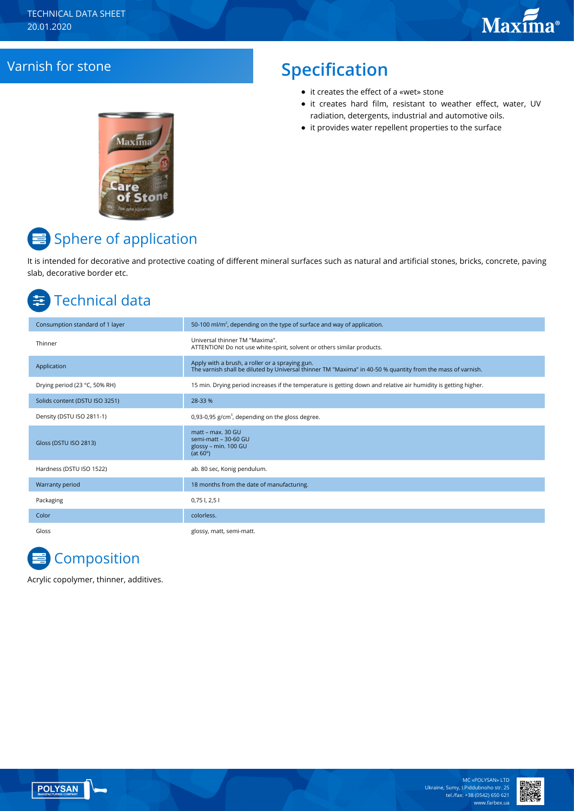## Varnish for stone **Specification**

- it сreates the effect of a «wet» stone
- it creates hard film, resistant to weather effect, water, UV radiation, detergents, industrial and automotive oils.
- it provides water repellent properties to the surface



# Sphere of application

It is intended for decorative and protective coating of different mineral surfaces such as natural and artificial stones, bricks, concrete, paving slab, decorative border etc.

# Technical data

| Consumption standard of 1 layer | 50-100 ml/m <sup>2</sup> , depending on the type of surface and way of application.                                                                            |
|---------------------------------|----------------------------------------------------------------------------------------------------------------------------------------------------------------|
| Thinner                         | Universal thinner TM "Maxima".<br>ATTENTION! Do not use white-spirit, solvent or others similar products.                                                      |
| Application                     | Apply with a brush, a roller or a spraying gun.<br>The varnish shall be diluted by Universal thinner TM "Maxima" in 40-50 % quantity from the mass of varnish. |
| Drying period (23 °C, 50% RH)   | 15 min. Drying period increases if the temperature is getting down and relative air humidity is getting higher.                                                |
| Solids content (DSTU ISO 3251)  | 28-33 %                                                                                                                                                        |
| Density (DSTU ISO 2811-1)       | 0,93-0,95 $g/cm3$ , depending on the gloss degree.                                                                                                             |
| Gloss (DSTU ISO 2813)           | matt - max. 30 GU<br>semi-matt - 30-60 GU<br>glossy - min. 100 GU<br>(at $60^\circ$ )                                                                          |
| Hardness (DSTU ISO 1522)        | ab. 80 sec, Konig pendulum.                                                                                                                                    |
| Warranty period                 | 18 months from the date of manufacturing.                                                                                                                      |
| Packaging                       | $0,75$ l, $2,5$ l                                                                                                                                              |
| Color                           | colorless.                                                                                                                                                     |
| Gloss                           | glossy, matt, semi-matt.                                                                                                                                       |

# **Composition**

Acrylic copolymer, thinner, additives.